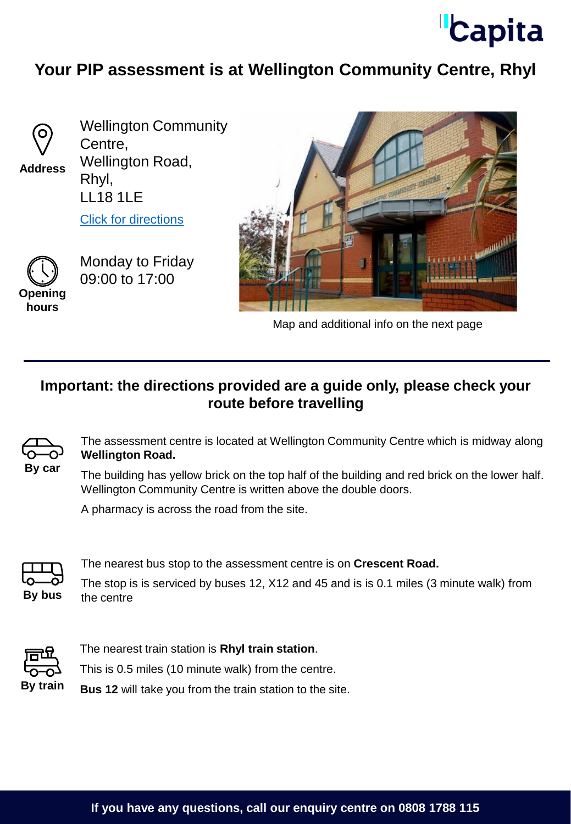

## **Your PIP assessment is at Wellington Community Centre, Rhyl**



**Address**

Wellington Community Centre, Wellington Road, Rhyl, LL18 1LE

[Click for directions](https://goo.gl/maps/2W76H3CGR9yf13UC8)



Monday to Friday 09:00 to 17:00





Map and additional info on the next page

## **Important: the directions provided are a guide only, please check your route before travelling**



The assessment centre is located at Wellington Community Centre which is midway along **Wellington Road.**

The building has yellow brick on the top half of the building and red brick on the lower half. Wellington Community Centre is written above the double doors.

A pharmacy is across the road from the site.



The nearest bus stop to the assessment centre is on **Crescent Road.** 

The stop is is serviced by buses 12, X12 and 45 and is is 0.1 miles (3 minute walk) from **By bus** the centre



The nearest train station is **Rhyl train station**. This is 0.5 miles (10 minute walk) from the centre.

**By train Bus 12** will take you from the train station to the site.